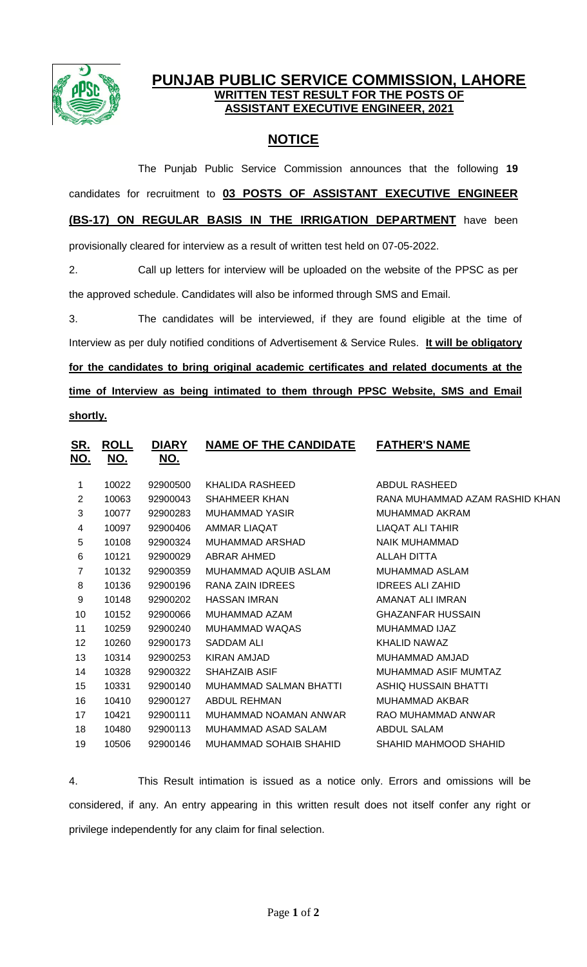

## **PUNJAB PUBLIC SERVICE COMMISSION, LAHORE WRITTEN TEST RESULT FOR THE POSTS OF ASSISTANT EXECUTIVE ENGINEER, 2021**

## **NOTICE**

The Punjab Public Service Commission announces that the following **19** candidates for recruitment to **03 POSTS OF ASSISTANT EXECUTIVE ENGINEER (BS-17) ON REGULAR BASIS IN THE IRRIGATION DEPARTMENT** have been provisionally cleared for interview as a result of written test held on 07-05-2022.

2. Call up letters for interview will be uploaded on the website of the PPSC as per the approved schedule. Candidates will also be informed through SMS and Email.

3. The candidates will be interviewed, if they are found eligible at the time of Interview as per duly notified conditions of Advertisement & Service Rules. **It will be obligatory for the candidates to bring original academic certificates and related documents at the time of Interview as being intimated to them through PPSC Website, SMS and Email shortly.**

| <u>SR.</u><br><u>NO.</u> | <u>ROLL</u><br><u>NO.</u> | <b>DIARY</b><br><u>NO.</u> | <b>NAME OF THE CANDIDATE</b>  | <b>FATHER'S NAME</b>           |
|--------------------------|---------------------------|----------------------------|-------------------------------|--------------------------------|
| 1                        | 10022                     | 92900500                   | KHALIDA RASHEED               | ABDUL RASHEED                  |
| $\overline{2}$           | 10063                     | 92900043                   | <b>SHAHMEER KHAN</b>          | RANA MUHAMMAD AZAM RASHID KHAN |
| 3                        | 10077                     | 92900283                   | <b>MUHAMMAD YASIR</b>         | <b>MUHAMMAD AKRAM</b>          |
| 4                        | 10097                     | 92900406                   | AMMAR LIAQAT                  | LIAQAT ALI TAHIR               |
| 5                        | 10108                     | 92900324                   | MUHAMMAD ARSHAD               | NAIK MUHAMMAD                  |
| 6                        | 10121                     | 92900029                   | <b>ABRAR AHMED</b>            | ALLAH DITTA                    |
| 7                        | 10132                     | 92900359                   | MUHAMMAD AQUIB ASLAM          | MUHAMMAD ASLAM                 |
| 8                        | 10136                     | 92900196                   | RANA ZAIN IDREES              | <b>IDREES ALI ZAHID</b>        |
| 9                        | 10148                     | 92900202                   | <b>HASSAN IMRAN</b>           | AMANAT ALI IMRAN               |
| 10                       | 10152                     | 92900066                   | MUHAMMAD AZAM                 | <b>GHAZANFAR HUSSAIN</b>       |
| 11                       | 10259                     | 92900240                   | MUHAMMAD WAQAS                | MUHAMMAD IJAZ                  |
| 12                       | 10260                     | 92900173                   | SADDAM ALI                    | <b>KHALID NAWAZ</b>            |
| 13                       | 10314                     | 92900253                   | KIRAN AMJAD                   | MUHAMMAD AMJAD                 |
| 14                       | 10328                     | 92900322                   | <b>SHAHZAIB ASIF</b>          | MUHAMMAD ASIF MUMTAZ           |
| 15                       | 10331                     | 92900140                   | <b>MUHAMMAD SALMAN BHATTI</b> | ASHIQ HUSSAIN BHATTI           |
| 16                       | 10410                     | 92900127                   | ABDUL REHMAN                  | MUHAMMAD AKBAR                 |
| 17                       | 10421                     | 92900111                   | MUHAMMAD NOAMAN ANWAR         | RAO MUHAMMAD ANWAR             |
| 18                       | 10480                     | 92900113                   | MUHAMMAD ASAD SALAM           | <b>ABDUL SALAM</b>             |
| 19                       | 10506                     | 92900146                   | MUHAMMAD SOHAIB SHAHID        | SHAHID MAHMOOD SHAHID          |
|                          |                           |                            |                               |                                |

4. This Result intimation is issued as a notice only. Errors and omissions will be considered, if any. An entry appearing in this written result does not itself confer any right or privilege independently for any claim for final selection.